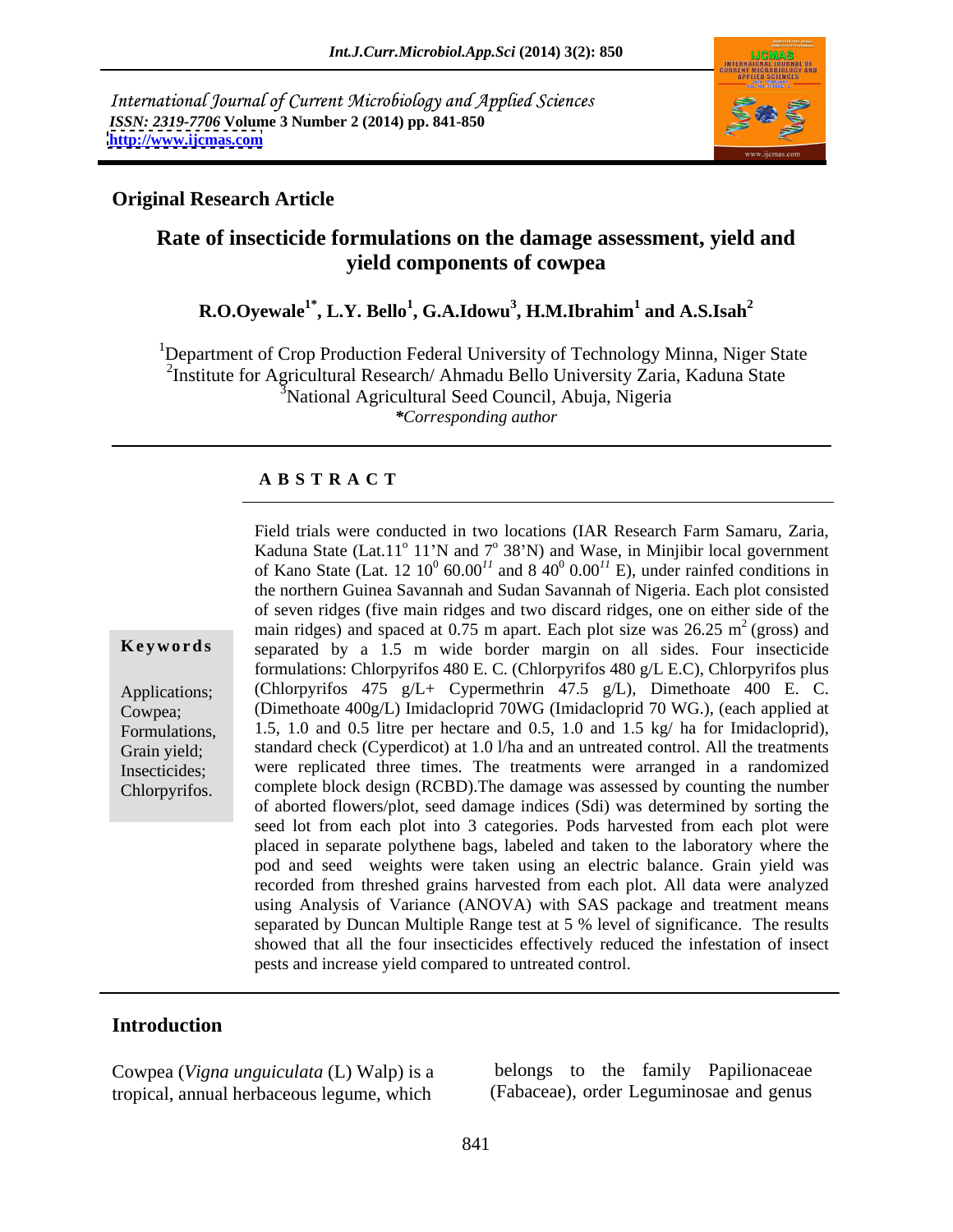International Journal of Current Microbiology and Applied Sciences *ISSN: 2319-7706* **Volume 3 Number 2 (2014) pp. 841-850 <http://www.ijcmas.com>**



## **Original Research Article**

## **Rate of insecticide formulations on the damage assessment, yield and yield components of cowpea**

### **R.O.Oyewale1\* , L.Y. Bello<sup>1</sup> , G.A.Idowu<sup>3</sup> , H.M.Ibrahim<sup>1</sup> and A.S.Isah<sup>2</sup>**

<sup>1</sup>Department of Crop Production Federal University of Technology Minna, Niger State <sup>2</sup>Institute for Agricultural Research/ Ahmadu Bello University Zaria, Kaduna State <sup>3</sup>National Agricultural Seed Council, Abuja, Nigeria *\*Corresponding author*

## **A B S T R A C T**

**Keywords** separated by a 1.5 m wide border margin on all sides. Four insecticide Applications; (Chlorpyrifos 475 g/L+ Cypermethrin 47.5 g/L), Dimethoate 400 E. C. Cowpea; (Dimethoate 400g/L) Imidacloprid 70WG (Imidacloprid 70 WG.), (each applied at Formulations, 1.5, 1.0 and 0.5 litre per hectare and 0.5, 1.0 and 1.5 kg/ ha for Imidacloprid), Grain yield; standard check (Cyperdicot) at 1.0 l/ha and an untreated control. All the treatments Insecticides; were replicated three times. The treatments were arranged in a randomized Field trials were conducted in two locations (IAR Research Farm Samaru, Zaria,<br>Kaduna State (Lat.11<sup>o</sup> 11<sup>o</sup>N and 7<sup>o</sup> 38Yb) and Wase, in Minjibir local government<br>of Kano State (Lat.12 10<sup>o</sup> 60.0<sup>01</sup> and 8 40<sup>o</sup> 0.00<sup>1</sup>  $\degree$  11'N and  $7\degree$  38'N) and Wase, in Minjibir local government of Kano State (Lat. 12  $10^0$  60.00<sup> $11$ </sup> and 8  $40^0$  0.00<sup> $11$ </sup> E), under rainfed conditions in the northern Guinea Savannah and Sudan Savannah of Nigeria. Each plot consisted of seven ridges (five main ridges and two discard ridges, one on either side of the main ridges) and spaced at 0.75 m apart. Each plot size was  $26.25 \text{ m}^2$  (gross) and  $2$  (gross) and formulations: Chlorpyrifos 480 E. C. (Chlorpyrifos 480 g/L E.C), Chlorpyrifos plus complete block design (RCBD).The damage was assessed by counting the number of aborted flowers/plot, seed damage indices (Sdi) was determined by sorting the seed lot from each plot into 3 categories. Pods harvested from each plot were placed in separate polythene bags, labeled and taken to the laboratory where the pod and seed weights were taken using an electric balance. Grain yield was recorded from threshed grains harvested from each plot. All data were analyzed using Analysis of Variance (ANOVA) with SAS package and treatment means separated by Duncan Multiple Range test at 5 % level of significance. The results showed that all the four insecticides effectively reduced the infestation of insect pests and increase yield compared to untreated control.

## **Introduction**

Cowpea (*Vigna unguiculata* (L) Walp) is a tropical, annual herbaceous legume, which

belongs to the family Papilionaceae (Fabaceae), order Leguminosae and genus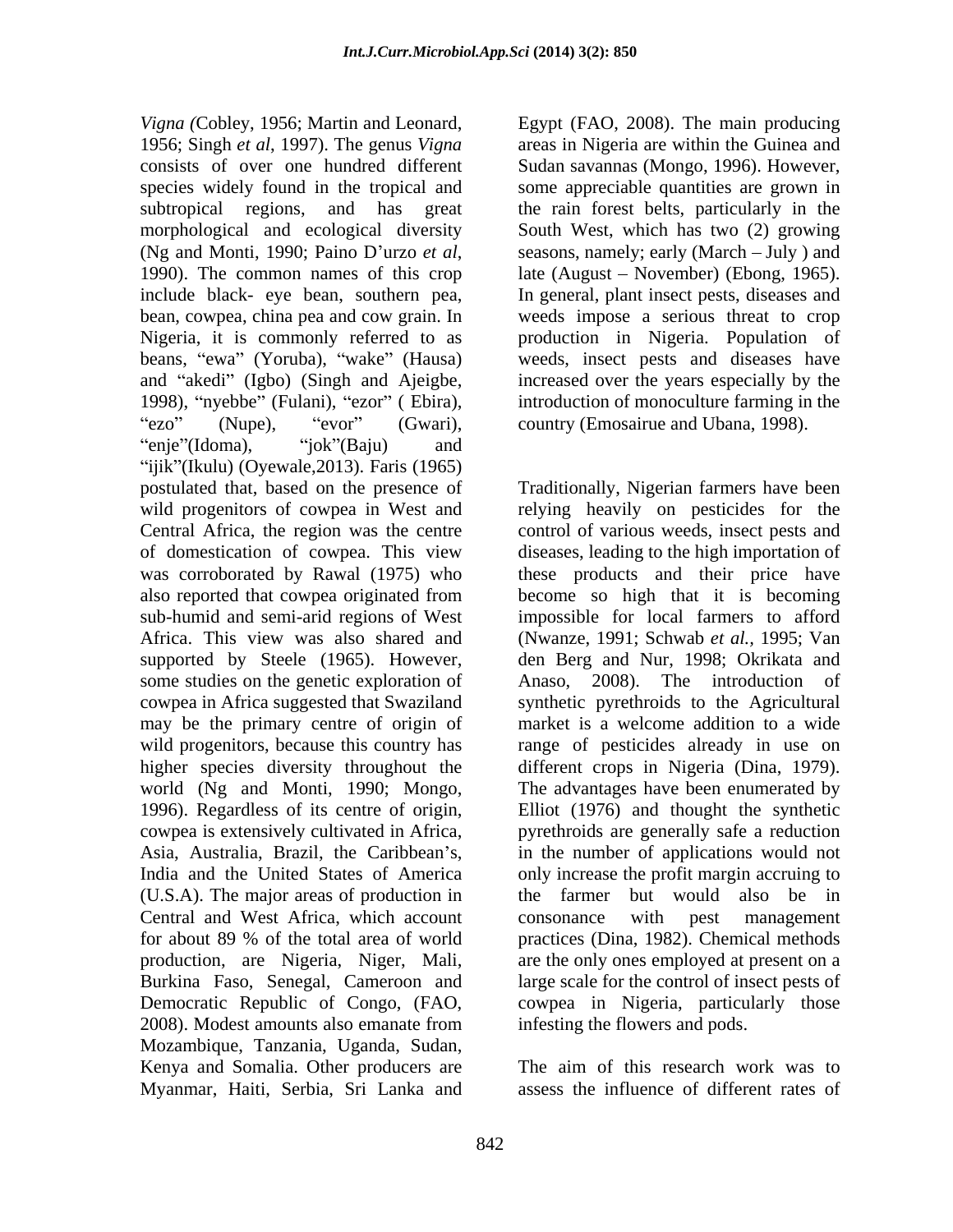*Vigna* (Cobley, 1956; Martin and Leonard, Egypt (FAO, 2008). The main producing 1956; Singh *et al*, 1997). The genus *Vigna* consists of over one hundred different Sudan savannas (Mongo, 1996). However, species widely found in the tropical and some appreciable quantities are grown in subtropical regions, and has great morphological and ecological diversity (Ng and Monti, 1990; Paino D'urzo *et al*, seasons, namely; early (March – July) and 1990). The common names of this crop late (August – November) (Ebong, 1965). include black- eye bean, southern pea, In general, plant insect pests, diseases and bean, cowpea, china pea and cow grain. In weeds impose a serious threat to crop Nigeria, it is commonly referred to as production in Nigeria. Population of beans, "ewa" (Yoruba), "wake" (Hausa) and "akedi" (Igbo) (Singh and Ajeigbe, increased over the years especially by the 1998), "nyebbe" (Fulani), "ezor" ( Ebira), enje"(Idoma), "jok"(Baju) and  $\Box$ "ijik" (Ikulu) (Oyewale,  $2013$ ). Faris (1965) postulated that, based on the presence of Traditionally, Nigerian farmers have been wild progenitors of cowpea in West and relying heavily on pesticides for the Central Africa, the region was the centre control of various weeds, insect pests and of domestication of cowpea. This view diseases, leading to the high importation of was corroborated by Rawal (1975) who these products and their price have also reported that cowpea originated from become so high that it is becoming sub-humid and semi-arid regions of West impossible for local farmers to afford Africa. This view was also shared and (Nwanze, 1991; Schwab *et al.,* 1995; Van supported by Steele (1965). However, den Berg and Nur, 1998; Okrikata and some studies on the genetic exploration of Anaso, cowpea in Africa suggested that Swaziland synthetic pyrethroids to the Agricultural may be the primary centre of origin of wild progenitors, because this country has range of pesticides already in use on higher species diversity throughout the different crops in Nigeria (Dina, 1979). world (Ng and Monti, 1990; Mongo, 1996). Regardless of its centre of origin, Elliot (1976) and thought the synthetic cowpea is extensively cultivated in Africa, pyrethroids are generally safe a reduction Asia, Australia, Brazil, the Caribbean's, in the number of applications would not India and the United States of America only increase the profit margin accruing to (U.S.A). The major areas of production in Central and West Africa, which account for about 89 % of the total area of world practices (Dina, 1982). Chemical methods production, are Nigeria, Niger, Mali, are the only ones employed at present on a Burkina Faso, Senegal, Cameroon and Democratic Republic of Congo, (FAO, cowpea in Nigeria, particularly those 2008). Modest amounts also emanate from Mozambique, Tanzania, Uganda, Sudan, Kenya and Somalia. Other producers are The aim of this research work was to Myanmar, Haiti, Serbia, Sri Lanka and

ezo" (Nupe), "evor" (Gwari), country (Emosairue and Ubana, 1998). areas in Nigeria are within the Guinea and the rain forest belts, particularly in the South West, which has two (2) growing seasons, namely; early (March – July ) and late (August – November) (Ebong, 1965). weeds, insect pests and diseases have introduction of monoculture farming in the

> 2008). The introduction of market is a welcome addition to a wide The advantages have been enumerated by the farmer but would also be in consonance with pest management large scale for the control of insect pests of infesting the flowers and pods.

The aim of this research work was to assess the influence of different rates of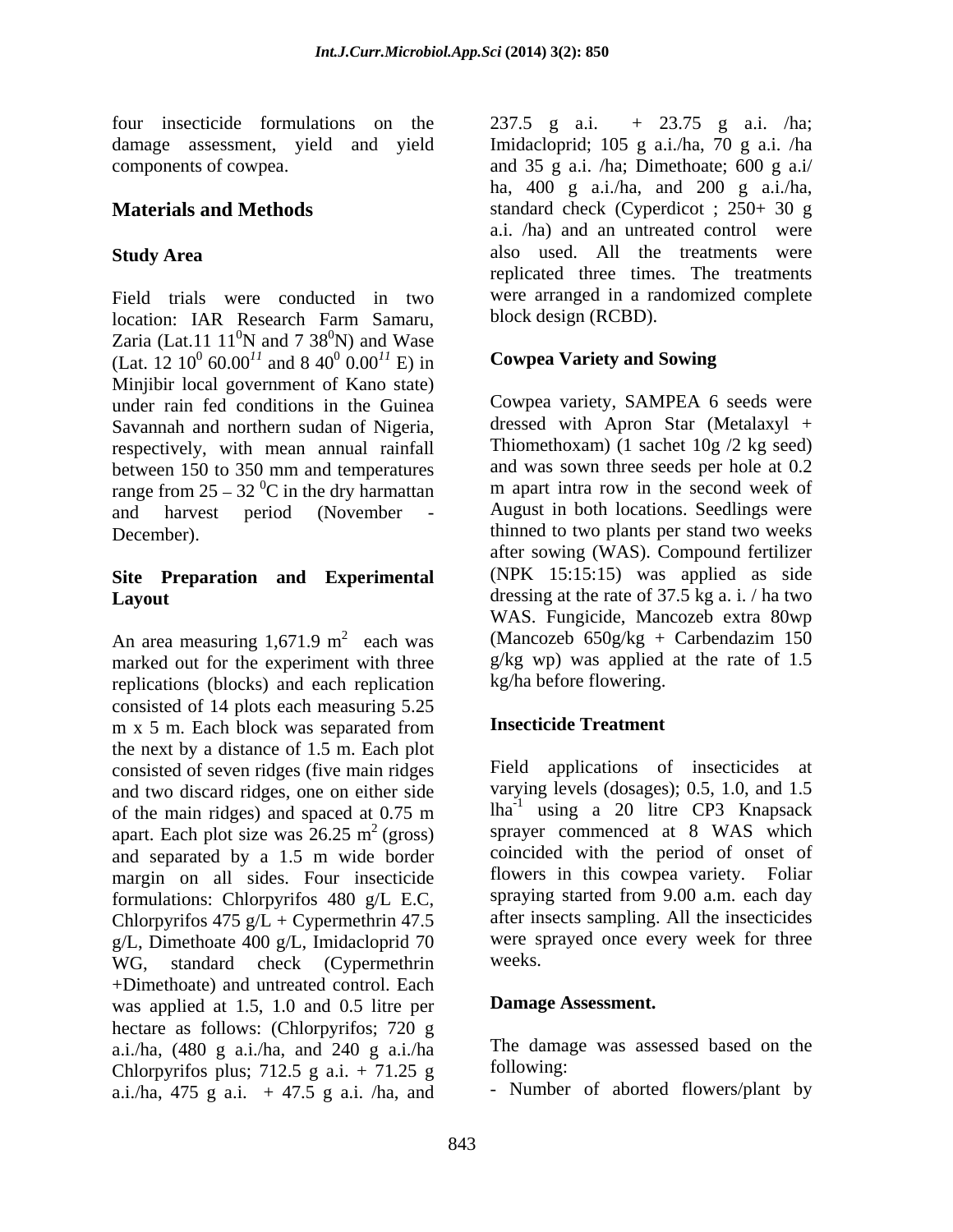four insecticide formulations on the 237.5 g a.i.  $+$  23.75 g a.i. /ha;

Field trials were conducted in two location: IAR Research Farm Samaru, block design (RCBD). Zaria (Lat.11  $11^0$ N and 7 38<sup>0</sup>N) and Wase  ${}^{0}\text{N}$  and 7 38 ${}^{0}\text{N}$ ) and Wase  $^{0}$ N) and Wase (Lat. 12  $10^0$  60.00<sup>11</sup> and 8  $40^0$  0.00<sup>11</sup> E) in **Cowpea Variety and Sowing** Minjibir local government of Kano state) under rain fed conditions in the Guinea Savannah and northern sudan of Nigeria, respectively, with mean annual rainfall between 150 to 350 mm and temperatures range from  $25 - 32$  °C in the dry harmattan and harvest period (November - August in both locations. Seedlings were December). thinned to two plants per stand two weeks

# **Site Preparation and Experimental**

An area measuring  $1,671.9 \text{ m}^2$  each was marked out for the experiment with three replications (blocks) and each replication consisted of 14 plots each measuring 5.25 m x 5 m. Each block was separated from **Insecticide Treatment** the next by a distance of 1.5 m. Each plot consisted of seven ridges (five main ridges and two discard ridges, one on either side of the main ridges) and spaced at 0.75 m apart. Each plot size was  $26.25 \text{ m}^2$  (gross) and separated by a 1.5 m wide border margin on all sides. Four insecticide formulations: Chlorpyrifos 480 g/L E.C, Chlorpyrifos  $475$  g/L + Cypermethrin 47.5  $g/L$ , Dimethoate 400  $g/L$ , Imidacloprid 70 were sp<br>WG standard check (Cypermethrip weeks. WG, standard check (Cypermethrin +Dimethoate) and untreated control. Each was applied at 1.5, 1.0 and 0.5 litre per hectare as follows: (Chlorpyrifos; 720 g a.i./ha, (480 g a.i./ha, and 240 g a.i./ha The damagnet The relation The state  $\frac{1}{2}$ . The mass Chlowing: Chlorpyrifos plus; 712.5 g a.i. + 71.25 g following:<br>a i /ba  $\frac{475 \text{ g}}{475 \text{ g}}$  a i /ba and - Number of aborted flowers/plant by a.i./ha, 475 g a.i.  $+ 47.5$  g a.i. /ha, and

damage assessment, yield and yield Imidacloprid; 105 g a.i./ha, 70 g a.i. /ha components of cowpea. and 35 g a.i. /ha; Dimethoate; 600 g a.i/ **Materials and Methods** standard check (Cyperdicot ; 250+ 30 g **Study Area** also used. All the treatments were ha, 400 g a.i./ha, and 200 g a.i./ha, a.i. /ha) and an untreated control were replicated three times. The treatments were arranged in a randomized complete block design (RCBD).

## $^{11}$  and 8 40<sup>0</sup> 0.00<sup>11</sup> E) in **Cowpea Variety and Sowing**

**Layout Layout Layout Layout Layout Layout Layout Layout Layout Layout Layout Layout Layout Layout Layout Layout Layout Layout Layout Layout Layout Layout Layout Layout Layou** 2 each was (Mancozeb 650g/kg + Carbendazim 150 Cowpea variety, SAMPEA 6 seeds were dressed with Apron Star (Metalaxyl + Thiomethoxam) (1 sachet 10g /2 kg seed) and was sown three seeds per hole at 0.2 m apart intra row in the second week of after sowing (WAS). Compound fertilizer (NPK 15:15:15) was applied as side WAS. Fungicide, Mancozeb extra 80wp g/kg wp) was applied at the rate of 1.5 kg/ha before flowering.

## **Insecticide Treatment**

 $2 \text{ (gross)}$  sprayer commenced at 8 WAS which Field applications of insecticides at varying levels (dosages); 0.5, 1.0, and 1.5 lha-1 using a 20 litre CP3 Knapsack coincided with the period of onset of flowers in this cowpea variety. Foliar spraying started from 9.00 a.m. each day after insects sampling. All the insecticides were sprayed once every week for three weeks.

## **Damage Assessment.**

The damage was assessed based on the

following: - Number of aborted flowers/plant by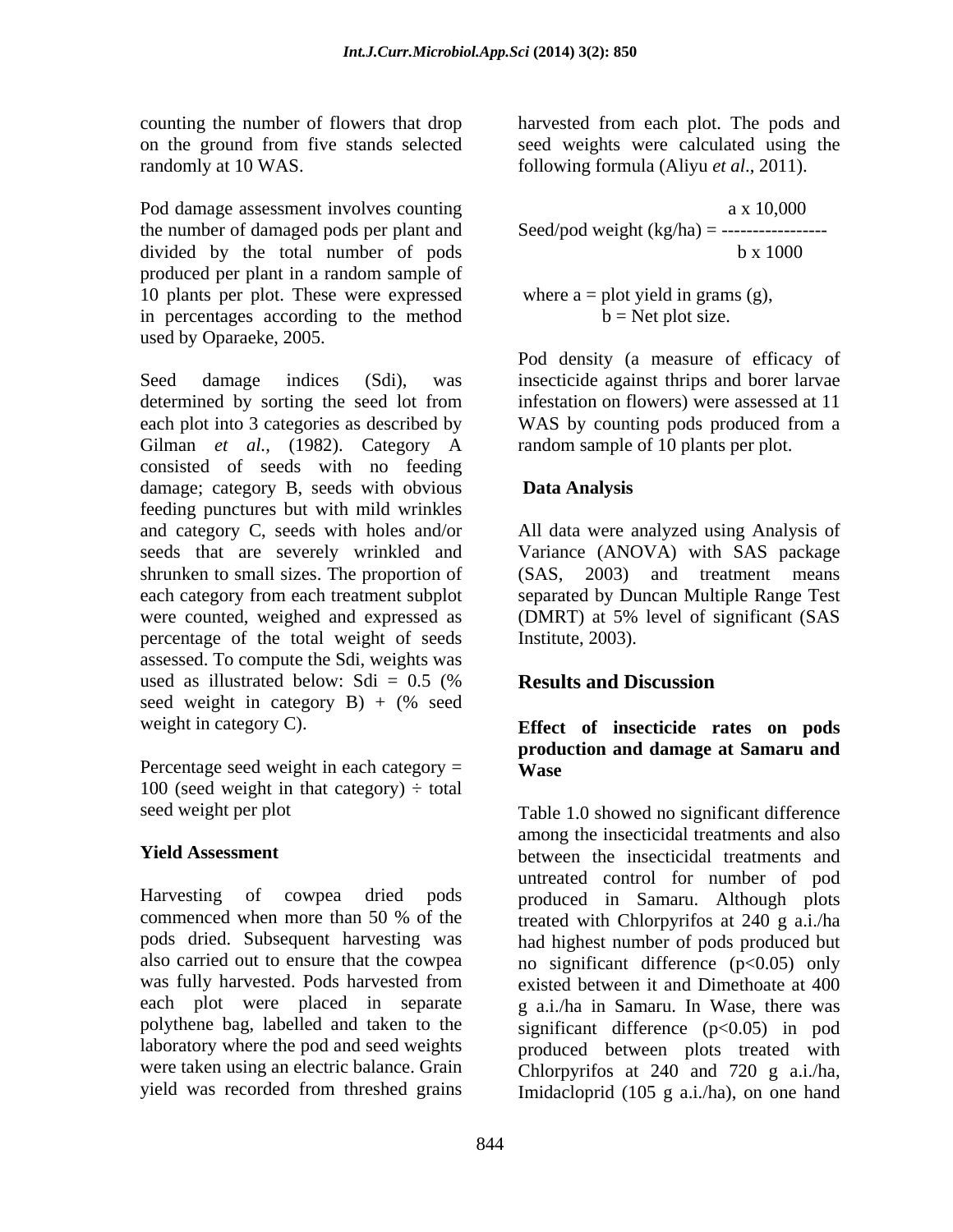randomly at 10 WAS. following formula (Aliyu *et al*., 2011).

Pod damage assessment involves counting the number of damaged pods per plant and divided by the total number of pods produced per plant in a random sample of 10 plants per plot. These were expressed in percentages according to the method used by Oparaeke, 2005.

Seed damage indices (Sdi), was insecticide against thrips and borer larvae determined by sorting the seed lot from infestation on flowers) were assessed at 11 each plot into 3 categories as described by WAS by counting pods produced from a Gilman *et al.,* (1982). Category A consisted of seeds with no feeding damage; category B, seeds with obvious **Data Analysis** feeding punctures but with mild wrinkles and category C, seeds with holes and/or All data were analyzed using Analysis of seeds that are severely wrinkled and Variance (ANOVA) with SAS package shrunken to small sizes. The proportion of (SAS, each category from each treatment subplot were counted, weighed and expressed as (DMRT) at 5% level of significant (SAS percentage of the total weight of seeds assessed. To compute the Sdi, weights was used as illustrated below:  $Sdi = 0.5$  (% **Results and Discussion** seed weight in category B) + (% seed weight in category C). **Effect of insecticide rates on pods**

Percentage seed weight in each category  $=$  Wase 100 (seed weight in that category)  $\div$  total

each plot were placed in separate polythene bag, labelled and taken to the

counting the number of flowers that drop harvested from each plot. The pods and on the ground from five stands selected seed weights were calculated using the

$$
a x 10,000
$$
  
Seed/pod weight (kg/ha) = 10,000  

$$
b x 1000
$$

where  $a = plot$  yield in grams (g),  $b = Net$  plot size.

Pod density (a measure of efficacy of infestation on flowers) were assessed at 11 WAS by counting pods produced from a random sample of 10 plants per plot.

## **Data Analysis**

(2003) and treatment means separated by Duncan Multiple Range Test Institute, 2003).

## **Results and Discussion**

## **production and damage at Samaru and Wase**

seed weight per plot Table 1.0 showed no significant difference **Yield Assessment**  between the insecticidal treatments and Harvesting of cowpea dried pods produced in Samaru. Although plots commenced when more than 50 % of the treated with Chlorovrifos at 240 g a.i./ha pods dried. Subsequent harvesting was had highest number of pods produced but also carried out to ensure that the cowpea no significant difference  $(p<0.05)$  only was fully harvested. Pods harvested from existed between it and Dimethoate at 400 laboratory where the pod and seed weights produced between plots treated with were taken using an electric balance. Grain Chlorpyrifos at 240 and 720 g a.i./ha, yield was recorded from threshed grains Imidacloprid (105 g a.i./ha), on one handamong the insecticidal treatments and also untreated control for number of pod treated with Chlorpyrifos at 240 g a.i./ha g a.i./ha in Samaru. In Wase, there was significant difference (p<0.05) in pod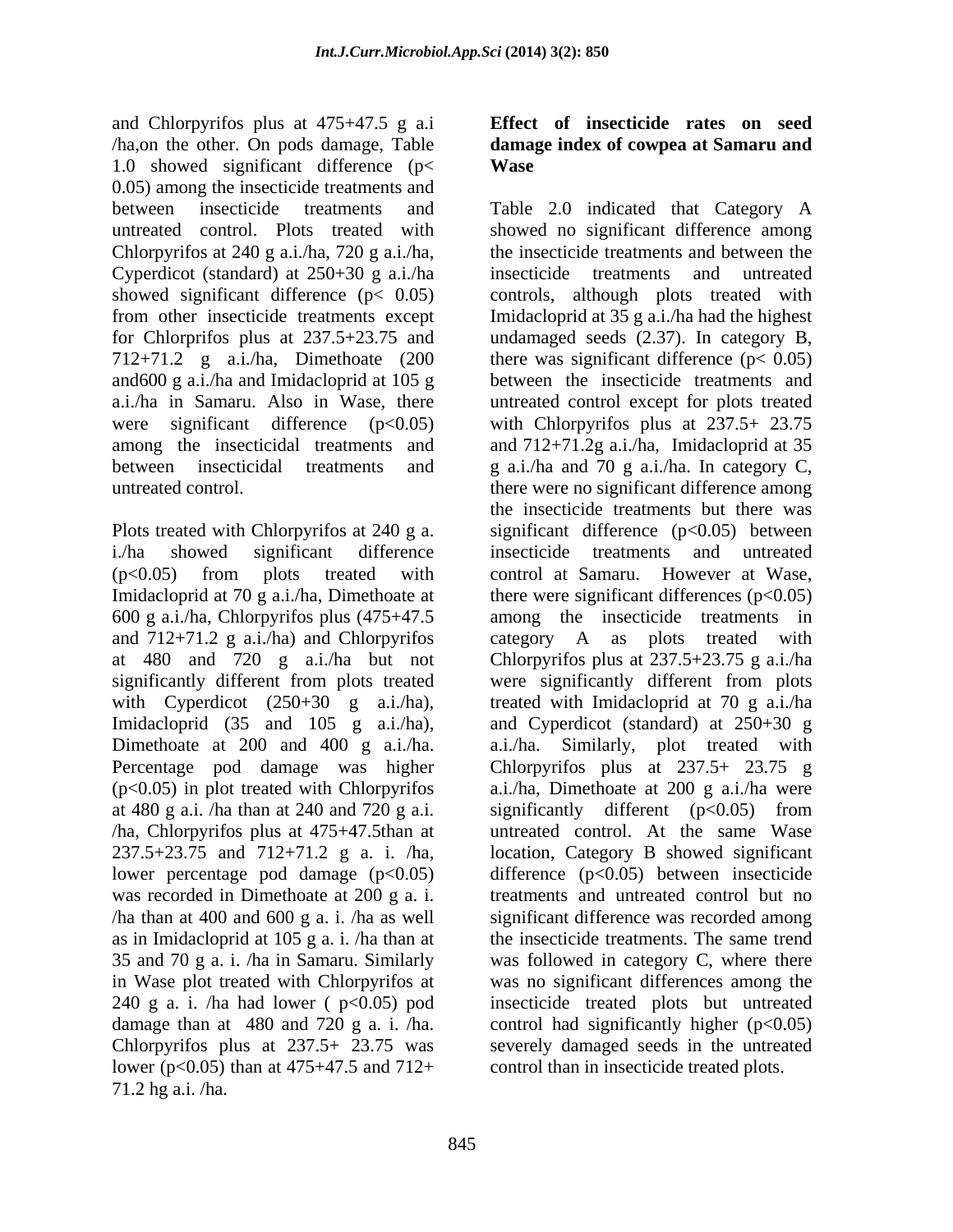and Chlorpyrifos plus at 475+47.5 g a.i **Effect of insecticide rates on seed** /ha,on the other. On pods damage, Table **damage index of cowpea at Samaru and** 1.0 showed significant difference (p< 0.05) among the insecticide treatments and Chlorpyrifos at 240 g a.i./ha, 720 g a.i./ha, Cyperdicot (standard) at 250+30 g a.i./ha 712+71.2 g a.i./ha, Dimethoate (200

and  $712+71.2$  g a.i./ha) and Chlorpyrifos at 480 and 720 g a.i./ha but not with Cyperdicot (250+30 g a.i./ha), Imidacloprid (35 and 105 g a.i./ha), at 480 g a.i. /ha than at 240 and 720 g a.i. /ha, Chlorpyrifos plus at 475+47.5than at lower percentage pod damage (p<0.05) was recorded in Dimethoate at 200 g a. i. lower ( $p < 0.05$ ) than at 475+47.5 and 712+ 71.2 hg a.i. /ha.

# **Wase**

between insecticide treatments and Table 2.0 indicated that Category A untreated control. Plots treated with showed no significant difference among showed significant difference  $(p< 0.05)$  controls, although plots treated with from other insecticide treatments except Imidacloprid at 35 g a.i./ha had the highest for Chlorprifos plus at 237.5+23.75 and undamaged seeds (2.37). In category B, and600 g a.i./ha and Imidacloprid at 105 g between the insecticide treatments and a.i./ha in Samaru. Also in Wase, there untreated control except for plots treated were significant difference (p<0.05) with Chlorpyrifos plus at 237.5+ 23.75 among the insecticidal treatments and and 712+71.2g a.i./ha, Imidacloprid at 35 between insecticidal treatments and g a.i./ha and 70 g a.i./ha. In category C, untreated control. there were no significant difference among Plots treated with Chlorpyrifos at 240 g a. significant difference  $(p<0.05)$  between i./ha showed significant difference insecticide treatments and untreated (p<0.05) from plots treated with control at Samaru. However at Wase, Imidacloprid at 70 g a.i./ha, Dimethoate at there were significant differences (p<0.05) 600 g a.i./ha, Chlorpyrifos plus (475+47.5 among the insecticide treatments in significantly different from plots treated were significantly different from plots Dimethoate at 200 and 400 g a.i./ha. a.i./ha. Similarly, plot treated with Percentage pod damage was higher Chlorpyrifos plus at 237.5+ 23.75 g (p<0.05) in plot treated with Chlorpyrifos a.i./ha, Dimethoate at 200 g a.i./ha were 237.5+23.75 and 712+71.2 g a. i. /ha, location, Category B showed significant /ha than at 400 and 600 g a. i. /ha as well significant difference was recorded among as in Imidacloprid at 105 g a. i. /ha than at the insecticide treatments. The same trend 35 and 70 g a. i. /ha in Samaru. Similarly was followed in category C, where there in Wase plot treated with Chlorpyrifos at was no significant differences among the 240 g a. i. /ha had lower ( p<0.05) pod insecticide treated plots but untreated damage than at 480 and 720 g a. i. /ha. control had significantly higher  $(p<0.05)$ Chlorpyrifos plus at 237.5+ 23.75 was severely damaged seeds in the untreated the insecticide treatments and between the insecticide treatments and untreated there was significant difference ( $p < 0.05$ ) the insecticide treatments but there was category A as plots treated with Chlorpyrifos plus at 237.5+23.75 g a.i./ha treated with Imidacloprid at 70 g a.i./ha and Cyperdicot (standard) at 250+30 g significantly different (p<0.05) from untreated control. At the same Wase difference (p<0.05) between insecticide treatments and untreated control but no control than in insecticide treated plots.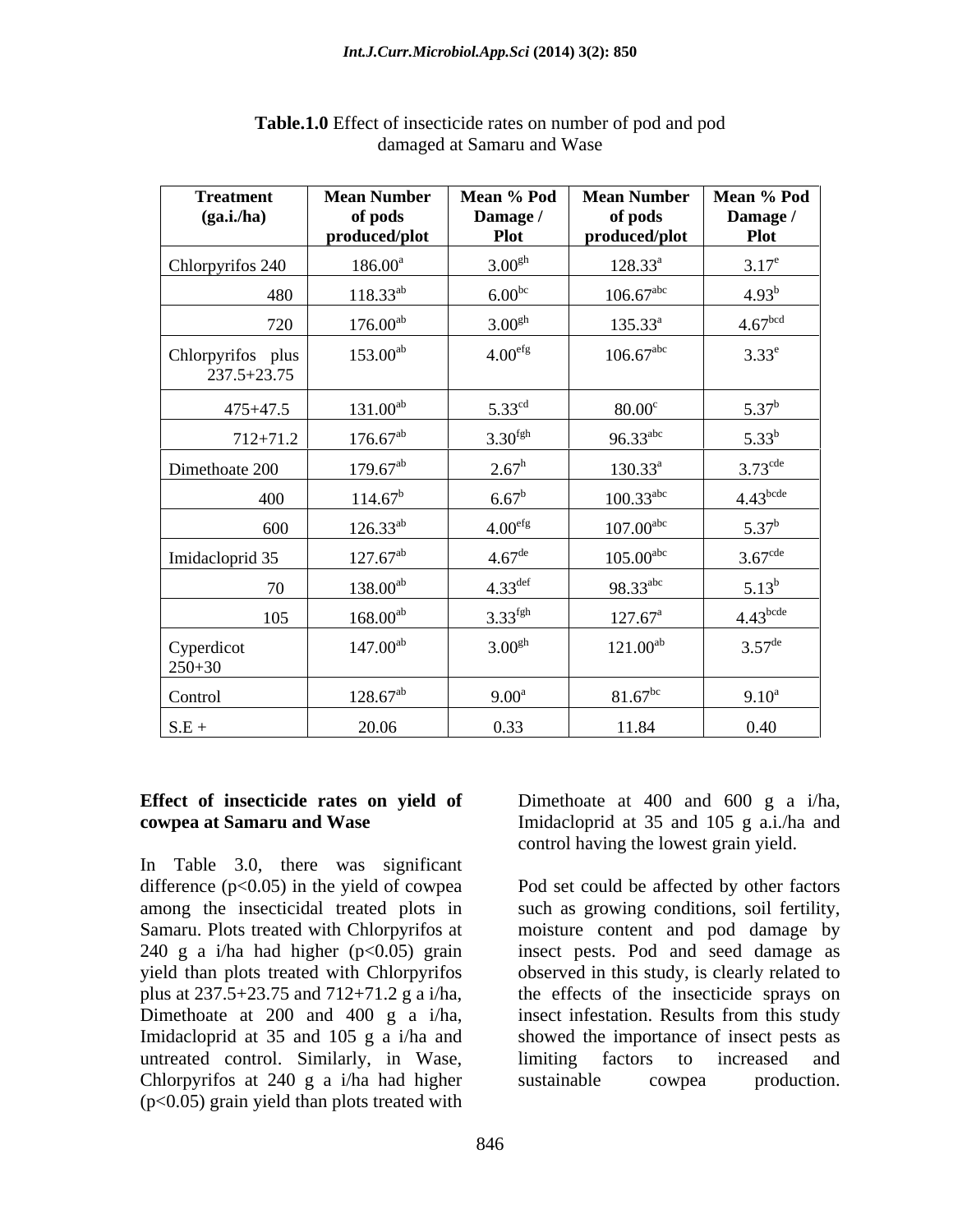| <b>Treatment</b><br>(ga.i.ha)        | <b>Mean Number</b><br>of pods<br>produced/plot | Mean % Pod<br>Damage /<br><b>Plot</b> | <b>Mean Number</b><br>of pods<br>produced/plot | Mean % Pod<br>Damage /<br><b>Plot</b> |
|--------------------------------------|------------------------------------------------|---------------------------------------|------------------------------------------------|---------------------------------------|
| Chlorpyrifos 240                     | $186.00^{\circ}$                               | 3.00 <sup>gh</sup>                    | $128.33^a$                                     | $3.17^e$                              |
| 480                                  | $118.33^{ab}$                                  | $6.00^{bc}$                           | $106.67^{\text{abc}}$                          | $4.93^{b}$                            |
| 720                                  | $176.00^{ab}$                                  | 3.00 <sup>gh</sup>                    | $135.33^a$                                     | 4.67 <sup>bcd</sup>                   |
| Chlorpyrifos plus<br>$237.5 + 23.75$ | $153.00^{ab}$                                  | 4.00 <sup>efg</sup>                   | $106.67^{\text{abc}}$                          | $3.33^e$                              |
| $475 + 47.5$                         | $131.00^{ab}$                                  | $5.33^{\text{cd}}$                    | $80.00^{\circ}$                                | $5.37^{b}$                            |
| $712 + 71.2$                         | $176.67^{ab}$                                  | 3.30 <sup>fgh</sup>                   | $96.33$ <sup>abc</sup>                         | $5.33^{b}$                            |
| Dimethoate 200                       | $179.67^{ab}$                                  | $2.67^h$                              | $130.33^a$                                     | $3.73^{\text{cde}}$                   |
| 400                                  | $114.67^b$                                     | $6.67^b$                              | $100.33^{\text{abc}}$                          | $4.43$ <sup>bcde</sup>                |
| 600                                  | $126.33^{ab}$                                  | 4.00 <sup>efg</sup>                   | $107.00$ <sup>abc</sup>                        | $5.37^b$                              |
| Imidacloprid 35                      | $127.67^{ab}$                                  | $4.67^{\text{de}}$                    | $105.00$ <sup>abc</sup>                        | $3.67^{\text{cde}}$                   |
| 70                                   | $138.00^{ab}$                                  | $4.33^{\text{def}}$                   | $98.33^{\text{abc}}$                           | $5.13^{b}$                            |
| 105                                  | $168.00^{ab}$                                  | 3.33 <sup>fgh</sup>                   | $127.67^{\text{a}}$                            | $4.43$ <sup>bcde</sup>                |
| $\text{Cyperdict}\n 250+30$          | $147.00^{ab}$                                  | 3.00 <sup>gh</sup>                    | $121.00^{ab}$                                  | $3.57^{\text{de}}$                    |
| Control                              | $128.67^{ab}$                                  | $9.00^{\text{a}}$                     | $81.67^{bc}$                                   | $9.10^{\circ}$                        |
| $S.E +$                              | 20.06                                          | 0.33                                  | 11.84                                          | 0.40                                  |

## **Table.1.0** Effect of insecticide rates on number of pod and pod damaged at Samaru and Wase

## **Effect of insecticide rates on yield of**

In Table 3.0, there was significant difference  $(p<0.05)$  in the yield of cowpea among the insecticidal treated plots in such as growing conditions, soil fertility, Samaru. Plots treated with Chlorpyrifos at moisture content and pod damage by plus at 237.5+23.75 and 712+71.2 g a i/ha, untreated control. Similarly, in Wase, limiting factors to increased and Chlorpyrifos at 240 g a i/ha had higher sustainable cowpea production. (p<0.05) grain yield than plots treated with

**cowpea at Samaru and Wase** Imidacloprid at 35 and 105 g a.i./ha and Dimethoate at 400 and 600 g a i/ha, control having the lowest grain yield.

240 g a i/ha had higher (p<0.05) grain insect pests. Pod and seed damage as yield than plots treated with Chlorpyrifos observed in this study, is clearly related to Dimethoate at 200 and 400 g a i/ha, insect infestation. Results from this study Imidacloprid at 35 and 105 g a i/ha and showed the importance of insect pests as Pod set could be affected by other factors such as growing conditions, soil fertility,<br>moisture content and pod damage by the effects of the insecticide sprays on limiting factors to increased and sustainable cowpea production.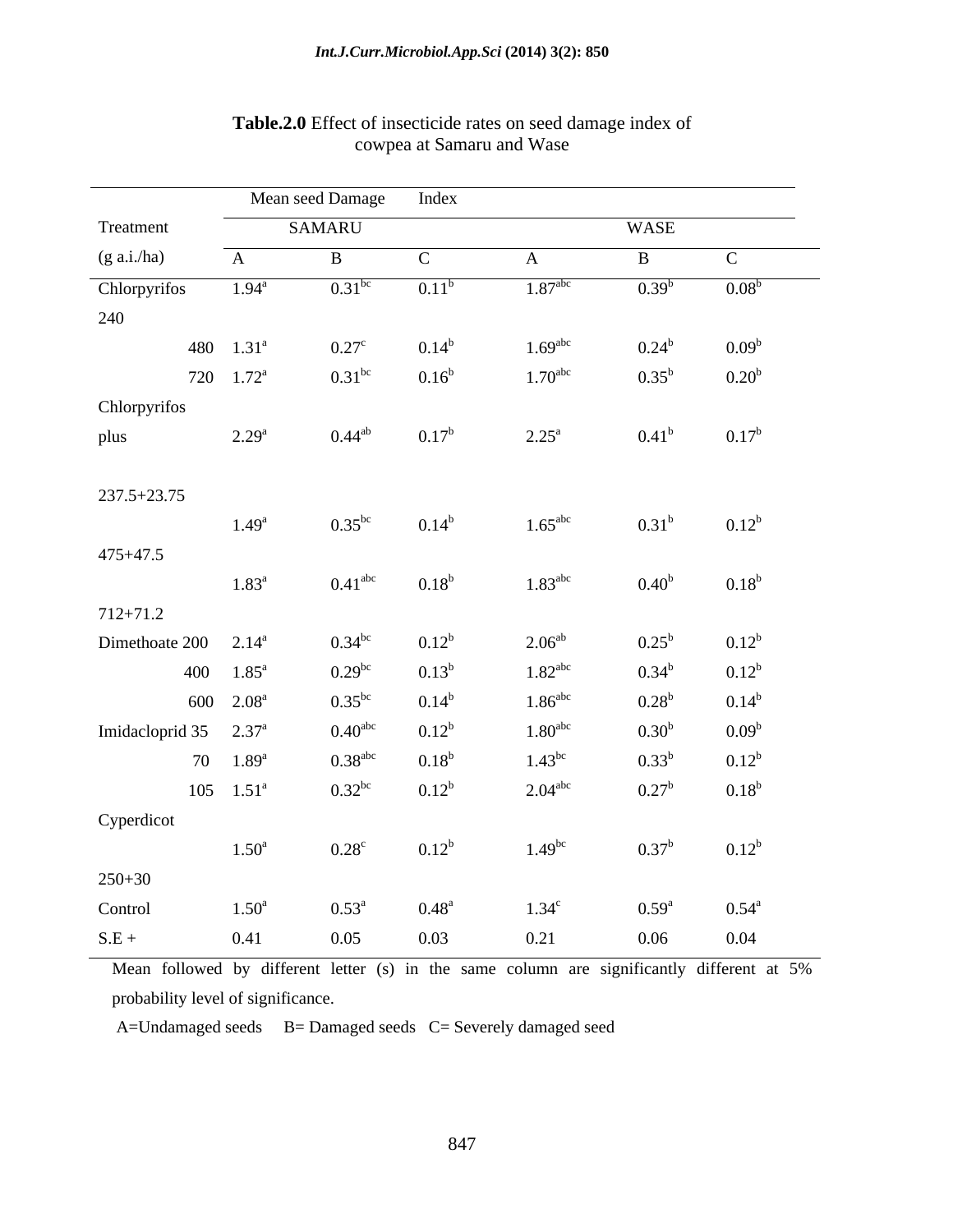|                          |                                                                                                                                                                                                            |                                                                                                                                                                                                     |                                                                                                                                 | WASE                                                                                                                                                                                                                                           |                                                                                                                                                                                     |
|--------------------------|------------------------------------------------------------------------------------------------------------------------------------------------------------------------------------------------------------|-----------------------------------------------------------------------------------------------------------------------------------------------------------------------------------------------------|---------------------------------------------------------------------------------------------------------------------------------|------------------------------------------------------------------------------------------------------------------------------------------------------------------------------------------------------------------------------------------------|-------------------------------------------------------------------------------------------------------------------------------------------------------------------------------------|
| $\mathbf{A}$             | $\mathbf{B}$                                                                                                                                                                                               | $\mathbf C$                                                                                                                                                                                         | $\mathbf{A}$                                                                                                                    | $\mathbf{B}$                                                                                                                                                                                                                                   | $\mathbf{C}$                                                                                                                                                                        |
| $1.94^{\circ}$           | $0.31^{bc}$                                                                                                                                                                                                | $0.11^b$                                                                                                                                                                                            | 1.87 <sup>abc</sup>                                                                                                             | $0.39^{b}$                                                                                                                                                                                                                                     | 0.08 <sup>b</sup>                                                                                                                                                                   |
|                          |                                                                                                                                                                                                            |                                                                                                                                                                                                     |                                                                                                                                 |                                                                                                                                                                                                                                                |                                                                                                                                                                                     |
|                          |                                                                                                                                                                                                            |                                                                                                                                                                                                     |                                                                                                                                 |                                                                                                                                                                                                                                                | 0.09 <sup>b</sup>                                                                                                                                                                   |
|                          |                                                                                                                                                                                                            |                                                                                                                                                                                                     |                                                                                                                                 |                                                                                                                                                                                                                                                | 0.20 <sup>b</sup>                                                                                                                                                                   |
|                          |                                                                                                                                                                                                            |                                                                                                                                                                                                     |                                                                                                                                 |                                                                                                                                                                                                                                                |                                                                                                                                                                                     |
|                          |                                                                                                                                                                                                            |                                                                                                                                                                                                     |                                                                                                                                 |                                                                                                                                                                                                                                                | $0.17^{\rm b}$                                                                                                                                                                      |
|                          |                                                                                                                                                                                                            |                                                                                                                                                                                                     |                                                                                                                                 |                                                                                                                                                                                                                                                |                                                                                                                                                                                     |
|                          |                                                                                                                                                                                                            |                                                                                                                                                                                                     |                                                                                                                                 |                                                                                                                                                                                                                                                |                                                                                                                                                                                     |
|                          |                                                                                                                                                                                                            |                                                                                                                                                                                                     |                                                                                                                                 |                                                                                                                                                                                                                                                | $0.12^{b}$                                                                                                                                                                          |
|                          |                                                                                                                                                                                                            |                                                                                                                                                                                                     |                                                                                                                                 |                                                                                                                                                                                                                                                |                                                                                                                                                                                     |
|                          |                                                                                                                                                                                                            |                                                                                                                                                                                                     |                                                                                                                                 |                                                                                                                                                                                                                                                |                                                                                                                                                                                     |
|                          |                                                                                                                                                                                                            |                                                                                                                                                                                                     |                                                                                                                                 |                                                                                                                                                                                                                                                | 0.18 <sup>b</sup>                                                                                                                                                                   |
|                          |                                                                                                                                                                                                            |                                                                                                                                                                                                     |                                                                                                                                 |                                                                                                                                                                                                                                                |                                                                                                                                                                                     |
|                          |                                                                                                                                                                                                            |                                                                                                                                                                                                     |                                                                                                                                 |                                                                                                                                                                                                                                                | $0.12^{b}$                                                                                                                                                                          |
|                          |                                                                                                                                                                                                            |                                                                                                                                                                                                     |                                                                                                                                 |                                                                                                                                                                                                                                                | $0.12^{b}$                                                                                                                                                                          |
|                          |                                                                                                                                                                                                            |                                                                                                                                                                                                     |                                                                                                                                 |                                                                                                                                                                                                                                                | $0.14^b$                                                                                                                                                                            |
|                          |                                                                                                                                                                                                            |                                                                                                                                                                                                     |                                                                                                                                 |                                                                                                                                                                                                                                                | $0.09^b$                                                                                                                                                                            |
| 70 $1.89^{\circ}$        |                                                                                                                                                                                                            | $0.18^b$                                                                                                                                                                                            |                                                                                                                                 |                                                                                                                                                                                                                                                | $0.12^{b}$                                                                                                                                                                          |
| $105 \quad 1.51^{\circ}$ |                                                                                                                                                                                                            | $0.12^{b}$                                                                                                                                                                                          | $2.04$ <sup>abc</sup>                                                                                                           |                                                                                                                                                                                                                                                | $0.18^{b}$                                                                                                                                                                          |
|                          |                                                                                                                                                                                                            |                                                                                                                                                                                                     |                                                                                                                                 |                                                                                                                                                                                                                                                |                                                                                                                                                                                     |
| $1.50^{\rm a}$           | $0.28^{\circ}$                                                                                                                                                                                             | $0.12^{b}$                                                                                                                                                                                          | $1.49^{bc}$                                                                                                                     | 0.37 <sup>b</sup>                                                                                                                                                                                                                              | $0.12^{b}$                                                                                                                                                                          |
|                          |                                                                                                                                                                                                            |                                                                                                                                                                                                     |                                                                                                                                 |                                                                                                                                                                                                                                                |                                                                                                                                                                                     |
| $1.50^{\rm a}$           | $0.53^{\circ}$                                                                                                                                                                                             | $0.48^{\rm a}$                                                                                                                                                                                      | $1.34^c$                                                                                                                        | $0.59^{\rm a}$                                                                                                                                                                                                                                 | $0.54^{\circ}$                                                                                                                                                                      |
| 0.41                     | 0.05                                                                                                                                                                                                       | 0.03                                                                                                                                                                                                | 0.21                                                                                                                            | 0.06                                                                                                                                                                                                                                           | 0.04                                                                                                                                                                                |
|                          | 480 $1.31^a$<br>720 $1.72^a$<br>$2.29^{\rm a}$<br>$1.49^{\rm a}$<br>$1.83^{\rm a}$<br>Dimethoate $200 \quad 2.14^a$<br>400 $1.85^{\text{a}}$<br>600 2.08 <sup>a</sup><br>Imidacloprid 35 2.37 <sup>a</sup> | SAMARU<br>$0.27^{\circ}$<br>$0.31^{bc}$<br>$0.44^{ab}$<br>$0.35^{bc}$<br>$0.41^{\rm abc}$<br>$0.34^{bc}$<br>$0.29^{bc}$<br>$0.35^{bc}$<br>0.40 <sup>abc</sup><br>$0.38^{\text{abc}}$<br>$0.32^{bc}$ | $0.14^{b}$<br>0.16 <sup>b</sup><br>$0.17^{b}$<br>$0.14^{b}$<br>$0.18^b$<br>$0.12^{b}$<br>$0.13^{b}$<br>$0.14^{b}$<br>$0.12^{b}$ | Mean seed Damage<br>Index<br>$1.69$ <sup>abc</sup><br>$1.70^{\text{abc}}$<br>$2.25^{\rm a}$<br>$1.65^{\text{abc}}$<br>$1.83^{\text{abc}}$<br>$2.06^{ab}$<br>$1.82$ <sup>abc</sup><br>$1.86^{\text{abc}}$<br>1.80 <sup>abc</sup><br>$1.43^{bc}$ | $0.24^{b}$<br>$0.35^{b}$<br>0.41 <sup>b</sup><br>$0.31^{b}$<br>0.40 <sup>b</sup><br>$0.25^{\rm b}$<br>$0.34^{b}$<br>$0.28^{b}$<br>0.30 <sup>b</sup><br>$0.33^{b}$<br>$0.27^{\rm b}$ |

## **Table.2.0** Effect of insecticide rates on seed damage index of cowpea at Samaru and Wase

Mean followed by different letter (s) in the same column are significantly different at 5% probability level of significance.

A=Undamaged seeds B= Damaged seeds C= Severely damaged seed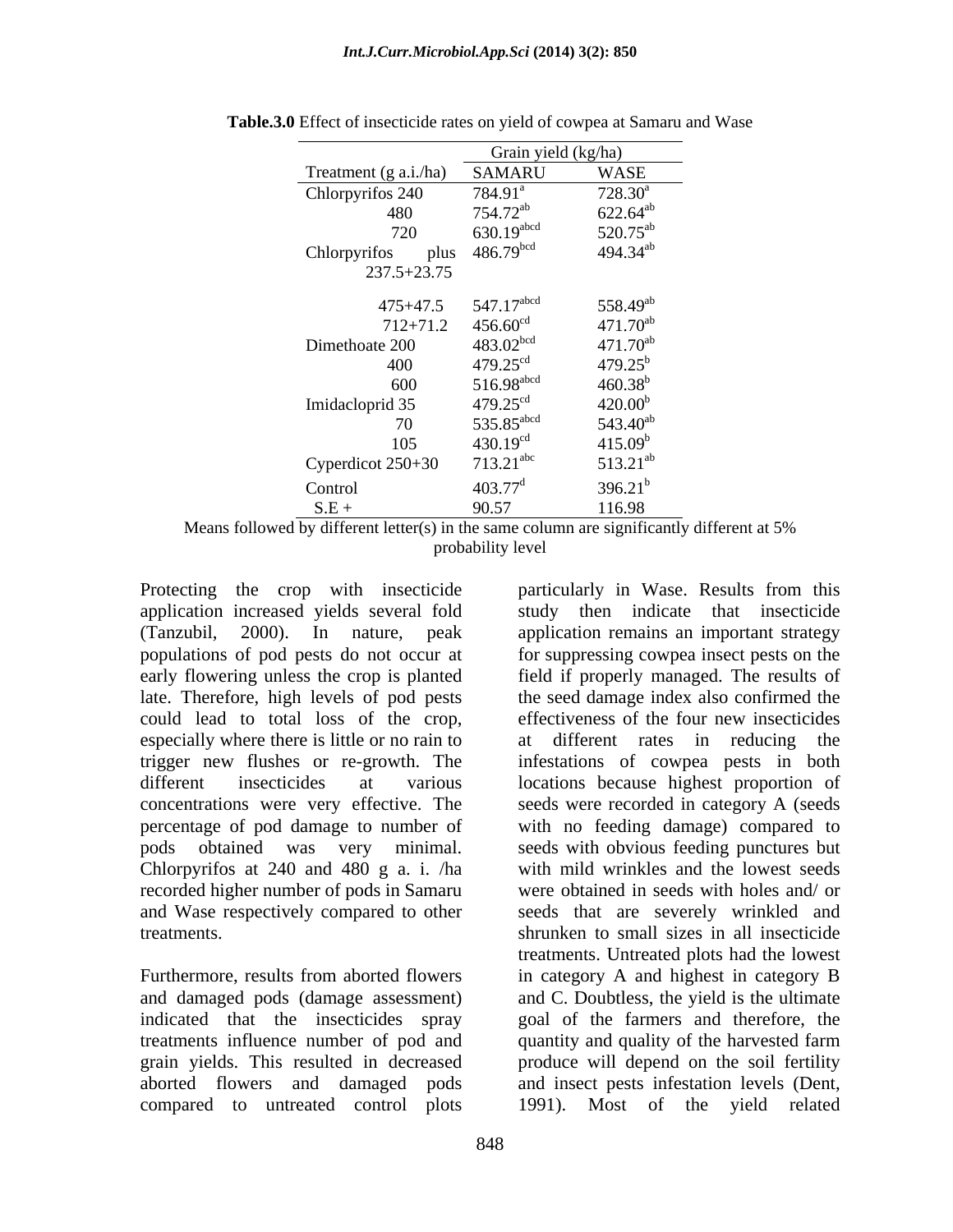|                       | Grain yield (kg/ha)        |                  |
|-----------------------|----------------------------|------------------|
| Treatment (g a.i./ha) | SAMARU                     | <b>WASE</b>      |
| Chlorpyrifos 240      | $784.91^{\circ}$           | $728.30^{\rm a}$ |
| 480                   | $754.72^{ab}$              | $622.64^{ab}$    |
| 720                   | $630.19$ abcd              | $520.75^{ab}$    |
| Chlorpyrifos          | plus 486.79 <sup>bcd</sup> | $494.34^{ab}$    |
| 237.5+23.75           |                            |                  |
|                       |                            |                  |
| $475 + 47.5$          | $547.17$ <sup>abcd</sup>   | $558.49^{ab}$    |
| $712 + 71.2$          | 456.60 <sup>cd</sup>       | $471.70^{ab}$    |
| Dimethoate 200        | $483.02^{bcd}$             | $471.70^{ab}$    |
| 400                   | $479.25$ <sup>cd</sup>     | $479.25^b$       |
| 600                   | 516.98 <sup>abcd</sup>     | $460.38^{b}$     |
| Imidacloprid 35       | $479.25^{\text{cd}}$       | $420.00^{b}$     |
| 70                    | 535.85 <sup>abcd</sup>     | $543.40^{ab}$    |
| 105                   | $430.19^{cd}$              | $415.09^b$       |
| Cyperdicot 250+30     | $713.21$ <sup>abc</sup>    | $513.21^{ab}$    |
| Control               | $403.77^{\rm d}$           | $396.21^{b}$     |
| $S.E +$               | 90.57                      | 116.98           |

**Table.3.0** Effect of insecticide rates on yield of cowpea at Samaru and Wase

Means followed by different letter(s) in the same column are significantly different at 5% probability level

late. Therefore, high levels of pod pests could lead to total loss of the crop, effectiveness of the four new insecticides Chlorpyrifos at 240 and 480 g a. i. /ha recorded higher number of pods in Samaru

Protecting the crop with insecticide particularly in Wase. Results from this application increased yields several fold study then indicate that insecticide (Tanzubil, 2000). In nature, peak application remains an important strategy populations of pod pests do not occur at for suppressing cowpea insect pests on the early flowering unless the crop is planted field if properly managed. The results of especially where there is little or no rain to at different rates in reducing the trigger new flushes or re-growth. The infestations of cowpea pests in both different insecticides at various locations because highest proportion of concentrations were very effective. The seeds were recorded in category A (seeds percentage of pod damage to number of with no feeding damage) compared to pods obtained was very minimal. seeds with obvious feeding punctures but and Wase respectively compared to other seeds that are severely wrinkled and treatments. shrunken to small sizes in all insecticide Furthermore, results from aborted flowers in category A and highest in category B and damaged pods (damage assessment) and C. Doubtless, the yield is the ultimate indicated that the insecticides spray goal of the farmers and therefore, the treatments influence number of pod and quantity and quality of the harvested farm grain yields. This resulted in decreased produce will depend on the soil fertility aborted flowers and damaged pods and insect pests infestation levels (Dent, compared to untreated control plots 1991). Most of the yield relatedthe seed damage index also confirmed the effectiveness of the four new insecticides with mild wrinkles and the lowest seeds were obtained in seeds with holes and/ or treatments. Untreated plots had the lowest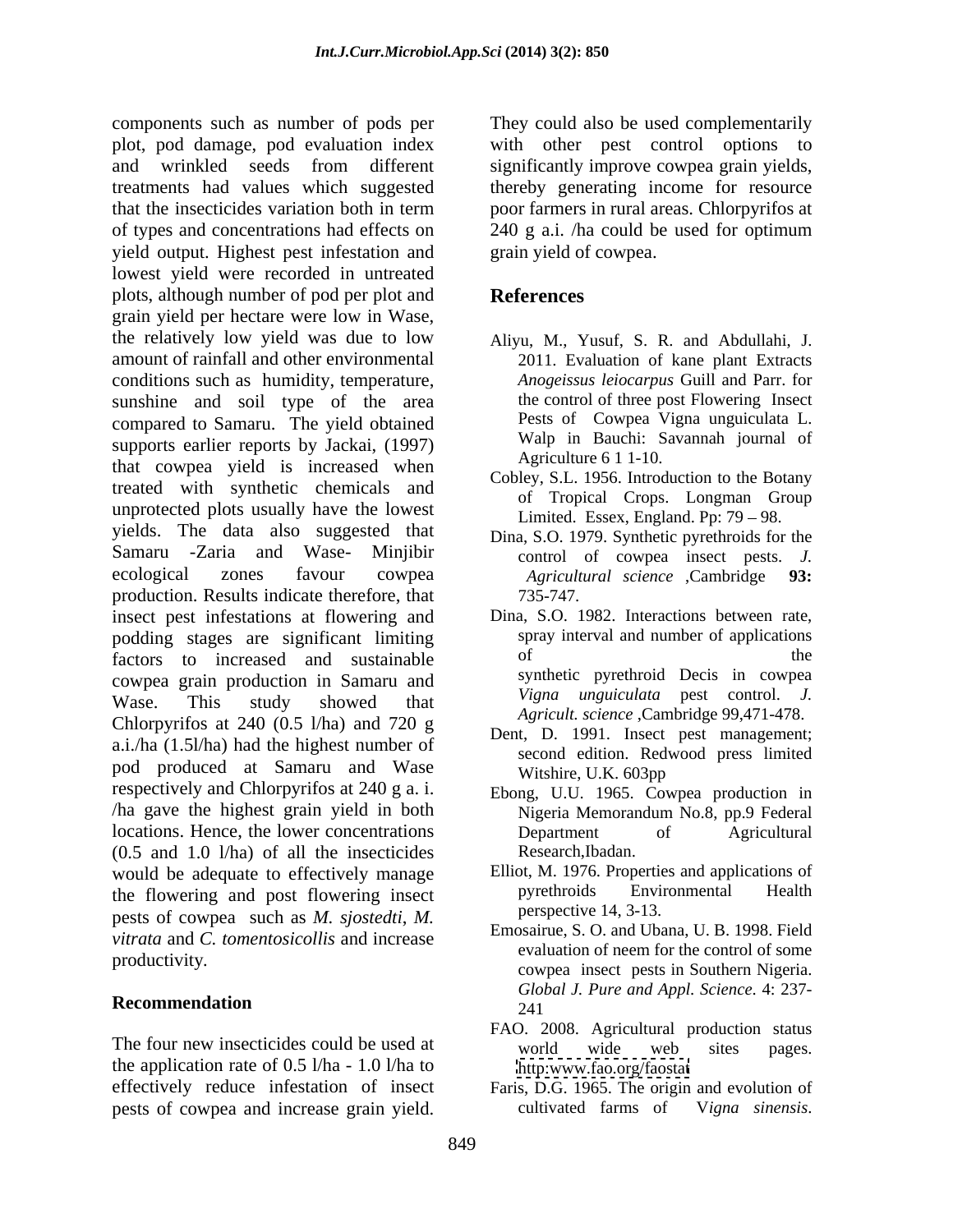components such as number of pods per They could also be used complementarily plot, pod damage, pod evaluation index with other pest control options to and wrinkled seeds from different significantly improve cowpea grain yields, treatments had values which suggested thereby generating income for resource that the insecticides variation both in term poor farmers in rural areas. Chlorpyrifos at of types and concentrations had effects on 240 g a.i. /ha could be used for optimum yield output. Highest pest infestation and lowest yield were recorded in untreated plots, although number of pod per plot and grain yield per hectare were low in Wase, the relatively low yield was due to low amount of rainfall and other environmental 2011. Evaluation of kane plant Extracts conditions such as humidity, temperature, sunshine and soil type of the area compared to Samaru. The yield obtained supports earlier reports by Jackai, (1997) that cowpea yield is increased when treated with synthetic chemicals and unprotected plots usually have the lowest yields. The data also suggested that Samaru -Zaria and Wase- Minjibir control of cowpea insect pests. *J.* ecological zones favour cowpea *Agricultural science* ,Cambridge **93:** production. Results indicate therefore, that insect pest infestations at flowering and podding stages are significant limiting spray interval and number of applications factors, to increased and sustainable of the factors to increased and sustainable cowpea grain production in Samaru and Wase. This study showed that  $\frac{v_{1}^{T} u_{2}^{T} u_{3}}{4}$  is  $\frac{v_{3}^{T} u_{4}^{T}}{2}$  and  $\frac{v_{4}^{T} u_{5}^{T}}{2}$  and  $\frac{v_{5}^{T} u_{5}^{T}}{2}$  and  $\frac{v_{6}^{T} u_{5}^{T}}{2}$  and  $\frac{v_{7}^{T}}{2}$  and  $\frac{v_{8}^{T}}{2}$  and  $\frac{v_{9}^{T}}{2}$ Chlorpyrifos at 240 (0.5 l/ha) and 720 g a.i./ha (1.5l/ha) had the highest number of pod produced at Samaru and Wase Witshire, U.K. 603pp respectively and Chlorpyrifos at 240 g a. i. ha gave the highest grain yield in both Nigeria Memorandum No.8, pp.9 Federal locations. Hence, the lower concentrations (0.5 and 1.0 l/ha) of all the insecticides<br>would be adequate to effectively manage Elliot, M. 1976. Properties and applications of would be adequate to effectively manage Elliot, M. 1976. Properties and applications of<br>the flowering and post flowering insect pyrethroids Environmental Health the flowering and post flowering insect pests of cowpea such as *M. sjostedti*, *M. vitrata* and *C. tomentosicollis* and increase

The four new insecticides could be used at world wide web sites pages. the application rate of 0.5 l/ha - 1.0 l/ha to effectively reduce infestation of insect pests of cowpea and increase grain yield. The cultivated farms of Vigna sinensis.

poor farmers in rural areas. Chlorpyrifos at grain yield of cowpea.

## **References**

- Aliyu, M., Yusuf, S. R. and Abdullahi, J. *Anogeissus leiocarpus* Guill and Parr. for the control of three post Flowering Insect Pests of Cowpea Vigna unguiculata L. Walp in Bauchi: Savannah journal of Agriculture 6 1 1-10.
- Cobley, S.L. 1956. Introduction to the Botany of Tropical Crops. Longman Group Limited. Essex, England. Pp:  $79 - 98$ .
- Dina, S.O. 1979. Synthetic pyrethroids for the 735-747.
- Dina, S.O. 1982. Interactions between rate, spray interval and number of applications of the the state of  $\mathbb{R}^n$ synthetic pyrethroid Decis in cowpea *Vigna unguiculata* pest control. *J. Agricult. science* ,Cambridge 99,471-478.
- Dent, D. 1991. Insect pest management; second edition. Redwood press limited Witshire, U.K. 603pp
- Ebong, U.U. 1965. Cowpea production in Nigeria Memorandum No.8, pp.9 Federal Department of Agricultural
- Research, Ibadan.<br>Elliot, M. 1976. Properties and applications of pyrethroids Environmental Health perspective 14, 3-13.
- productivity.<br>
cowpea insect pests in Southern Nigeria. Recommendation 241 Emosairue, S. O. and Ubana, U. B. 1998. Field evaluation of neem for the control of some *Global J. Pure and Appl. Science*. 4: 237- 241
	- FAO. 2008. Agricultural production status world wide web sites pages. <http:www.fao.org/faostat>
	- Faris, D.G. 1965. The origin and evolution of cultivated farms of V*igna sinensis*.